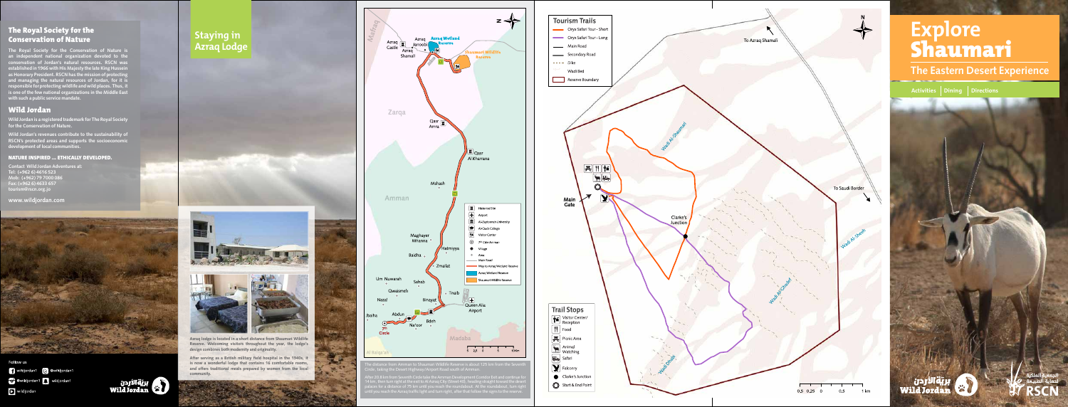#### The Royal Society for the **Conservation of Nature**

The Royal Society for the Conservation of Nature is an independent national organization devoted to the conservation of Jordan's natural resources. RSCN was established in 1966 with His Majesty the late King Hussein as Honorary President. RSCN has the mission of protecting and managing the natural resources of Jordan, for it is responsible for protecting wildlife and wild places. Thus, it is one of the few national organizations in the Middle East with such a public service mandate.

#### Wild Jordan

Wild Jordan is a registered trademark for The Royal Society for the Conservation of Nature.

Wild Jordan's revenues contribute to the sustainability of RSCN's protected areas and supports the socioeconomic **.communities local of development**

#### **NATURE INSPIRED ... ETHICALLY DEVELOPED.**

**Contact Wild Jordan Adventures at:** Tel: (+962 6) 4616 523 Mob: (+962) 79 7000 086 **657 4633 (6 +962) :Fax** tourism@rscn.org.jo

**com.wildjordan.www**



Follow us wildjordan1 B @wildjordan1 C @wildjordan1 R wildjordan1 wild jordan



After serving as a British military field hospital in the 1940s, it is now a wonderful lodge that contains 16 comfortable rooms, and offers traditional meals prepared by women from the local **.community**



The distance from Amman to Shaumari Wildlife Reserve is about 125 km from the Seventh Circle, taking the Desert Highway/Airport Road south of Amman.

for 20.0 KIII ITOHT SEVENTH CITCLE LAKE LITE.<br>Long the exit correct and the contract of the seventh from km 20.8 After an, then turning it to to take to mixeral city (Street 40), heading straight toward the c<br>cos for a distance of 75 km until you reach the roundabout. At the roundabout turn palaces for a distance of 75 km until you reach the roundabout. At the roundabout, turn right until you reach the Azraq traffic light and turn right, after that follow the signs to the reserve.



#### **Staying** in **Lodge Azraq**







Azraq lodge is located in a short distance from Shaumari Wildlife Reserve. Welcoming visitors throughout the year, the lodge's design combines both modernity and originality.

# **Explore** Shaumari

**The Eastern Desert Experience** 

**Activities** Dining Directions